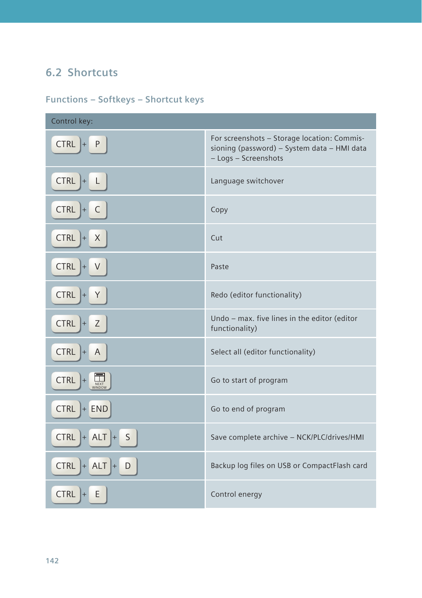## **6.2 Shortcuts**

## **Functions – Softkeys – Shortcut keys**

| Control key:                          |                                                                                                                    |
|---------------------------------------|--------------------------------------------------------------------------------------------------------------------|
| <b>CTRL</b><br>P<br>I+                | For screenshots - Storage location: Commis-<br>sioning (password) - System data - HMI data<br>- Logs - Screenshots |
| <b>CTRL</b><br>$ + $<br>$\mathsf{L}$  | Language switchover                                                                                                |
| C<br><b>CTRL</b><br>$ + $             | Copy                                                                                                               |
| <b>CTRL</b><br>X<br>$ + $             | Cut                                                                                                                |
| <b>CTRL</b><br>V<br>$+$               | Paste                                                                                                              |
| <b>CTRL</b><br>Y<br>$ + $             | Redo (editor functionality)                                                                                        |
| <b>CTRL</b><br>Z<br>$ + $             | Undo - max. five lines in the editor (editor<br>functionality)                                                     |
| <b>CTRL</b><br>$\overline{A}$<br>$+$  | Select all (editor functionality)                                                                                  |
| <b>CTRL</b><br>$\frac{1}{NEXT}$<br>I+ | Go to start of program                                                                                             |
| <b>CTRL</b><br>$+$ END                | Go to end of program                                                                                               |
| $CTRL$ + ALT +<br>$\mathsf{S}$        | Save complete archive - NCK/PLC/drives/HMI                                                                         |
| <b>CTRL</b><br>$+$ ALT $+$<br>D       | Backup log files on USB or CompactFlash card                                                                       |
| <b>CTRL</b><br>Ε<br>$+$               | Control energy                                                                                                     |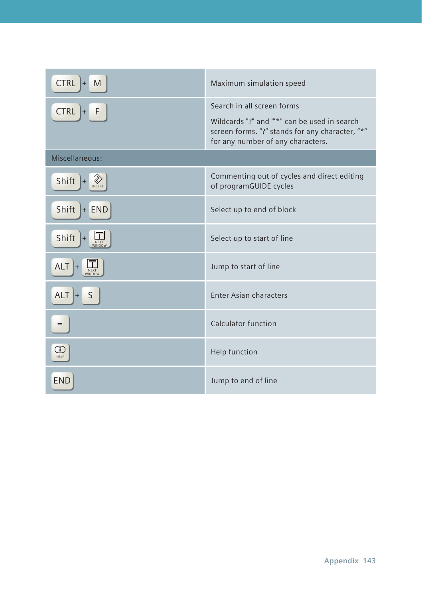| <b>CTRL</b><br>M<br>$+$          | Maximum simulation speed                                                                                                                                          |  |
|----------------------------------|-------------------------------------------------------------------------------------------------------------------------------------------------------------------|--|
| <b>CTRL</b><br>F<br>$+$          | Search in all screen forms<br>Wildcards "?" and "*" can be used in search<br>screen forms. "?" stands for any character, "*"<br>for any number of any characters. |  |
| Miscellaneous:                   |                                                                                                                                                                   |  |
| ◈<br>Shift<br><b>INSERT</b>      | Commenting out of cycles and direct editing<br>of programGUIDE cycles                                                                                             |  |
| Shift $+$ END                    | Select up to end of block                                                                                                                                         |  |
| Shift $\ $ +<br>NEXT<br>WINDOW   | Select up to start of line                                                                                                                                        |  |
| $ALT$ +<br><b>NEXT</b><br>WINDOW | Jump to start of line                                                                                                                                             |  |
| $ALT$ +<br>S                     | Enter Asian characters                                                                                                                                            |  |
| $=$                              | Calculator function                                                                                                                                               |  |
| G)<br>HELP                       | Help function                                                                                                                                                     |  |
| <b>END</b>                       | Jump to end of line                                                                                                                                               |  |